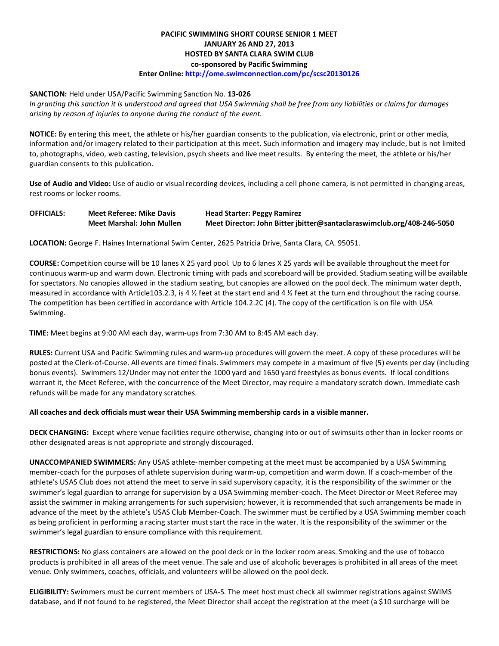# **PACIFIC SWIMMING SHORT COURSE SENIOR 1 MEET JANUARY 26 AND 27, 2013 HOSTED BY SANTA CLARA SWIM CLUB co-sponsored by Pacific Swimming**

# **Enter Online: http://ome.swimconnection.com/pc/scsc20130126**

#### **SANCTION:** Held under USA/Pacific Swimming Sanction No. **13-026**

*In granting this sanction it is understood and agreed that USA Swimming shall be free from any liabilities or claims for damages arising by reason of injuries to anyone during the conduct of the event.*

**NOTICE:** By entering this meet, the athlete or his/her guardian consents to the publication, via electronic, print or other media, information and/or imagery related to their participation at this meet. Such information and imagery may include, but is not limited to, photographs, video, web casting, television, psych sheets and live meet results. By entering the meet, the athlete or his/her guardian consents to this publication.

**Use of Audio and Video:** Use of audio or visual recording devices, including a cell phone camera, is not permitted in changing areas, rest rooms or locker rooms.

| <b>OFFICIALS:</b> | <b>Meet Referee: Mike Davis</b> | <b>Head Starter: Peggy Ramirez</b>                                     |  |  |  |  |  |
|-------------------|---------------------------------|------------------------------------------------------------------------|--|--|--|--|--|
|                   | Meet Marshal: John Mullen       | Meet Director: John Bitter jbitter@santaclaraswimclub.org/408-246-5050 |  |  |  |  |  |

**LOCATION:** George F. Haines International Swim Center, 2625 Patricia Drive, Santa Clara, CA. 95051.

**COURSE:** Competition course will be 10 lanes X 25 yard pool. Up to 6 lanes X 25 yards will be available throughout the meet for continuous warm-up and warm down. Electronic timing with pads and scoreboard will be provided. Stadium seating will be available for spectators. No canopies allowed in the stadium seating, but canopies are allowed on the pool deck. The minimum water depth, measured in accordance with Article103.2.3, is 4 % feet at the start end and 4 % feet at the turn end throughout the racing course. The competition has been certified in accordance with Article 104.2.2C (4). The copy of the certification is on file with USA Swimming.

**TIME:** Meet begins at 9:00 AM each day, warm-ups from 7:30 AM to 8:45 AM each day.

**RULES:** Current USA and Pacific Swimming rules and warm-up procedures will govern the meet. A copy of these procedures will be posted at the Clerk-of-Course. All events are timed finals. Swimmers may compete in a maximum of five (5) events per day (including bonus events). Swimmers 12/Under may not enter the 1000 yard and 1650 yard freestyles as bonus events. If local conditions warrant it, the Meet Referee, with the concurrence of the Meet Director, may require a mandatory scratch down. Immediate cash refunds will be made for any mandatory scratches.

### **All coaches and deck officials must wear their USA Swimming membership cards in a visible manner.**

**DECK CHANGING:** Except where venue facilities require otherwise, changing into or out of swimsuits other than in locker rooms or other designated areas is not appropriate and strongly discouraged.

**UNACCOMPANIED SWIMMERS:** Any USAS athlete-member competing at the meet must be accompanied by a USA Swimming member-coach for the purposes of athlete supervision during warm-up, competition and warm down. If a coach-member of the athlete's USAS Club does not attend the meet to serve in said supervisory capacity, it is the responsibility of the swimmer or the swimmer's legal guardian to arrange for supervision by a USA Swimming member-coach. The Meet Director or Meet Referee may assist the swimmer in making arrangements for such supervision; however, it is recommended that such arrangements be made in advance of the meet by the athlete's USAS Club Member-Coach. The swimmer must be certified by a USA Swimming member coach as being proficient in performing a racing starter must start the race in the water. It is the responsibility of the swimmer or the swimmer's legal guardian to ensure compliance with this requirement.

**RESTRICTIONS:** No glass containers are allowed on the pool deck or in the locker room areas. Smoking and the use of tobacco products is prohibited in all areas of the meet venue. The sale and use of alcoholic beverages is prohibited in all areas of the meet venue. Only swimmers, coaches, officials, and volunteers will be allowed on the pool deck.

**ELIGIBILITY:** Swimmers must be current members of USA-S. The meet host must check all swimmer registrations against SWIMS database, and if not found to be registered, the Meet Director shall accept the registration at the meet (a \$10 surcharge will be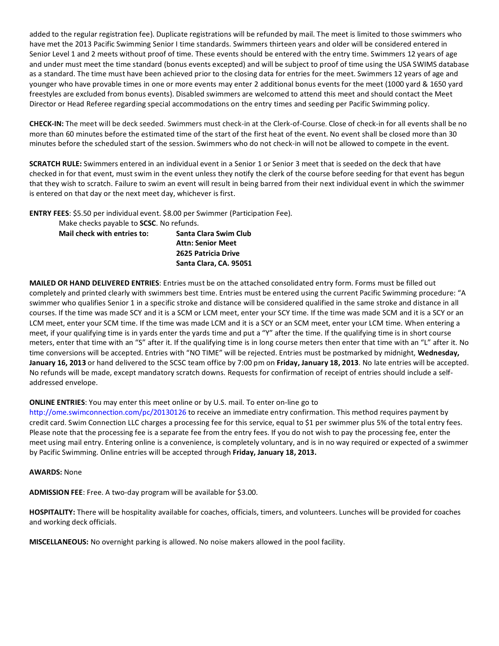added to the regular registration fee). Duplicate registrations will be refunded by mail. The meet is limited to those swimmers who have met the 2013 Pacific Swimming Senior I time standards. Swimmers thirteen years and older will be considered entered in Senior Level 1 and 2 meets without proof of time. These events should be entered with the entry time. Swimmers 12 years of age and under must meet the time standard (bonus events excepted) and will be subject to proof of time using the USA SWIMS database as a standard. The time must have been achieved prior to the closing data for entries for the meet. Swimmers 12 years of age and younger who have provable times in one or more events may enter 2 additional bonus events for the meet (1000 yard & 1650 yard freestyles are excluded from bonus events). Disabled swimmers are welcomed to attend this meet and should contact the Meet Director or Head Referee regarding special accommodations on the entry times and seeding per Pacific Swimming policy.

**CHECK-IN:** The meet will be deck seeded. Swimmers must check-in at the Clerk-of-Course. Close of check-in for all events shall be no more than 60 minutes before the estimated time of the start of the first heat of the event. No event shall be closed more than 30 minutes before the scheduled start of the session. Swimmers who do not check-in will not be allowed to compete in the event.

**SCRATCH RULE:** Swimmers entered in an individual event in a Senior 1 or Senior 3 meet that is seeded on the deck that have checked in for that event, must swim in the event unless they notify the clerk of the course before seeding for that event has begun that they wish to scratch. Failure to swim an event will result in being barred from their next individual event in which the swimmer is entered on that day or the next meet day, whichever is first.

**ENTRY FEES**: \$5.50 per individual event. \$8.00 per Swimmer (Participation Fee).

Make checks payable to **SCSC**. No refunds.

| Santa Clara Swim Club    |
|--------------------------|
| <b>Attn: Senior Meet</b> |
| 2625 Patricia Drive      |
| Santa Clara, CA. 95051   |
|                          |

**MAILED OR HAND DELIVERED ENTRIES**: Entries must be on the attached consolidated entry form. Forms must be filled out completely and printed clearly with swimmers best time. Entries must be entered using the current Pacific Swimming procedure: "A swimmer who qualifies Senior 1 in a specific stroke and distance will be considered qualified in the same stroke and distance in all courses. If the time was made SCY and it is a SCM or LCM meet, enter your SCY time. If the time was made SCM and it is a SCY or an LCM meet, enter your SCM time. If the time was made LCM and it is a SCY or an SCM meet, enter your LCM time. When entering a meet, if your qualifying time is in yards enter the yards time and put a "Y" after the time. If the qualifying time is in short course meters, enter that time with an "S" after it. If the qualifying time is in long course meters then enter that time with an "L" after it. No time conversions will be accepted. Entries with "NO TIME" will be rejected. Entries must be postmarked by midnight, **Wednesday, January 16, 2013** or hand delivered to the SCSC team office by 7:00 pm on **Friday, January 18, 2013**. No late entries will be accepted. No refunds will be made, except mandatory scratch downs. Requests for confirmation of receipt of entries should include a selfaddressed envelope.

### **ONLINE ENTRIES**: You may enter this meet online or by U.S. mail. To enter on-line go to

http://ome.swimconnection.com/pc/20130126 to receive an immediate entry confirmation. This method requires payment by credit card. Swim Connection LLC charges a processing fee for this service, equal to \$1 per swimmer plus 5% of the total entry fees. Please note that the processing fee is a separate fee from the entry fees. If you do not wish to pay the processing fee, enter the meet using mail entry. Entering online is a convenience, is completely voluntary, and is in no way required or expected of a swimmer by Pacific Swimming. Online entries will be accepted through **Friday, January 18, 2013.**

#### **AWARDS:** None

**ADMISSION FEE**: Free. A two-day program will be available for \$3.00.

**HOSPITALITY:** There will be hospitality available for coaches, officials, timers, and volunteers. Lunches will be provided for coaches and working deck officials.

**MISCELLANEOUS:** No overnight parking is allowed. No noise makers allowed in the pool facility.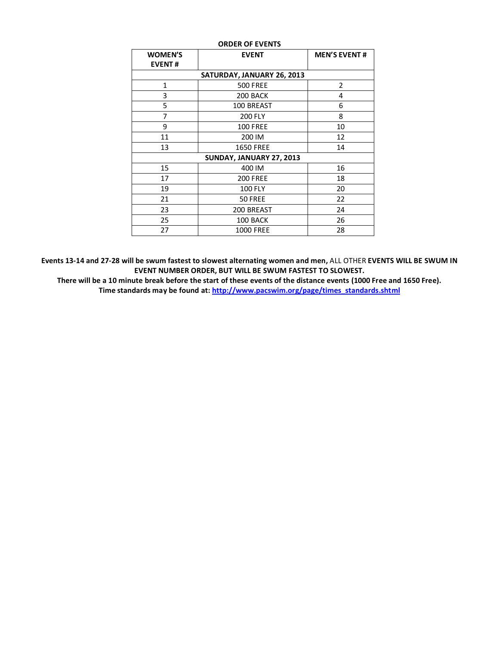| <b>ORDER OF EVENTS</b>          |                  |                     |  |  |  |  |  |  |  |
|---------------------------------|------------------|---------------------|--|--|--|--|--|--|--|
| <b>WOMEN'S</b><br><b>EVENT#</b> | <b>EVENT</b>     | <b>MEN'S EVENT#</b> |  |  |  |  |  |  |  |
| SATURDAY, JANUARY 26, 2013      |                  |                     |  |  |  |  |  |  |  |
| <b>500 FREE</b><br>2<br>1       |                  |                     |  |  |  |  |  |  |  |
| 3                               | 200 BACK         | 4                   |  |  |  |  |  |  |  |
| 5                               | 100 BREAST       | 6                   |  |  |  |  |  |  |  |
| 7                               | <b>200 FLY</b>   | 8                   |  |  |  |  |  |  |  |
| 9                               | <b>100 FREE</b>  | 10                  |  |  |  |  |  |  |  |
| 11                              | 200 IM           | 12                  |  |  |  |  |  |  |  |
| 13                              | <b>1650 FREE</b> | 14                  |  |  |  |  |  |  |  |
| SUNDAY, JANUARY 27, 2013        |                  |                     |  |  |  |  |  |  |  |
| 15                              | 400 IM           | 16                  |  |  |  |  |  |  |  |
| 17                              | <b>200 FREE</b>  | 18                  |  |  |  |  |  |  |  |
| 19                              | <b>100 FLY</b>   | 20                  |  |  |  |  |  |  |  |
| 21                              | 50 FREE          | 22                  |  |  |  |  |  |  |  |
| 23                              | 200 BREAST       | 24                  |  |  |  |  |  |  |  |
| 25                              | 100 BACK         | 26                  |  |  |  |  |  |  |  |
| 27                              | <b>1000 FREE</b> | 28                  |  |  |  |  |  |  |  |

**Events 13-14 and 27-28 will be swum fastest to slowest alternating women and men,** ALL OTHER **EVENTS WILL BE SWUM IN EVENT NUMBER ORDER, BUT WILL BE SWUM FASTEST TO SLOWEST.**

**There will be a 10 minute break before the start of these events of the distance events (1000 Free and 1650 Free). Time standards may be found at[: http://www.pacswim.org/page/times\\_standards.shtml](http://www.pacswim.org/page/times_standards.shtml)**